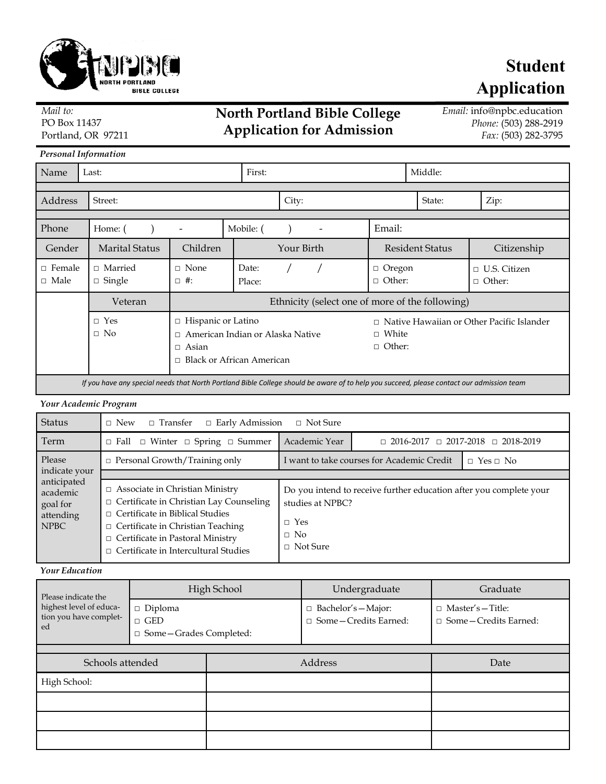

## **North Portland Bible College Application for Admission**

*Email:* info@npbc.education *Phone:* (503) 288-2919 *Fax:* (503) 282-3795

**Application**

**Student**

PO Box 11437 Portland, OR 97211

*Mail to:*

| <b>Personal Information</b>                                                                                                               |                                   |                                                                                                                        |                 |            |        |                                                                                   |         |                                       |  |
|-------------------------------------------------------------------------------------------------------------------------------------------|-----------------------------------|------------------------------------------------------------------------------------------------------------------------|-----------------|------------|--------|-----------------------------------------------------------------------------------|---------|---------------------------------------|--|
| Name                                                                                                                                      | First:<br>Last:                   |                                                                                                                        |                 |            |        |                                                                                   | Middle: |                                       |  |
|                                                                                                                                           |                                   |                                                                                                                        |                 |            |        |                                                                                   |         |                                       |  |
| Address                                                                                                                                   | Street:                           |                                                                                                                        | City:           |            |        | State:                                                                            | Zip:    |                                       |  |
|                                                                                                                                           |                                   |                                                                                                                        |                 |            |        |                                                                                   |         |                                       |  |
| Phone                                                                                                                                     | Home: (                           | Mobile: (                                                                                                              |                 |            | Email: |                                                                                   |         |                                       |  |
| Gender                                                                                                                                    | <b>Marital Status</b>             | Children                                                                                                               |                 | Your Birth |        | <b>Resident Status</b>                                                            |         | Citizenship                           |  |
| $\Box$ Female<br>$\Box$ Male                                                                                                              | $\sqcap$ Married<br>$\Box$ Single | $\Box$ None<br>$\Box$ #:                                                                                               | Date:<br>Place: |            |        | Oregon<br>□<br>Other:<br>$\Box$                                                   |         | U.S. Citizen<br>П<br>Other:<br>$\Box$ |  |
|                                                                                                                                           | Veteran                           | Ethnicity (select one of more of the following)                                                                        |                 |            |        |                                                                                   |         |                                       |  |
|                                                                                                                                           | $\Box$ Yes<br>$\Box$ No           | □ Hispanic or Latino<br>American Indian or Alaska Native<br>$\Box$<br>$\Box$ Asian<br>$\Box$ Black or African American |                 |            |        | $\Box$ Native Hawaiian or Other Pacific Islander<br>$\Box$ White<br>$\Box$ Other: |         |                                       |  |
| If you have any special needs that North Portland Bible College should be aware of to help you succeed, please contact our admission team |                                   |                                                                                                                        |                 |            |        |                                                                                   |         |                                       |  |

## *Your Academic Program*

| <b>Status</b>                                                   | $\Box$ Transfer<br>$\Box$ Early Admission<br>$\Box$ Not Sure<br>$\Box$ New                                                                                                                                                                                               |                                                                                                                                      |                                                       |  |  |  |  |  |  |  |
|-----------------------------------------------------------------|--------------------------------------------------------------------------------------------------------------------------------------------------------------------------------------------------------------------------------------------------------------------------|--------------------------------------------------------------------------------------------------------------------------------------|-------------------------------------------------------|--|--|--|--|--|--|--|
| Term                                                            | $\Box$ Fall $\Box$ Winter $\Box$ Spring $\Box$ Summer                                                                                                                                                                                                                    | Academic Year                                                                                                                        | $\Box$ 2016-2017 $\Box$ 2017-2018<br>$\Box$ 2018-2019 |  |  |  |  |  |  |  |
| Please                                                          | $\Box$ Personal Growth/Training only                                                                                                                                                                                                                                     | I want to take courses for Academic Credit                                                                                           | $\Box$ Yes $\Box$ No                                  |  |  |  |  |  |  |  |
| indicate your                                                   |                                                                                                                                                                                                                                                                          |                                                                                                                                      |                                                       |  |  |  |  |  |  |  |
| anticipated<br>academic<br>goal for<br>attending<br><b>NPBC</b> | $\Box$ Associate in Christian Ministry<br>$\Box$ Certificate in Christian Lay Counseling<br>$\Box$ Certificate in Biblical Studies<br>$\Box$ Certificate in Christian Teaching<br>$\Box$ Certificate in Pastoral Ministry<br>$\Box$ Certificate in Intercultural Studies | Do you intend to receive further education after you complete your<br>studies at NPBC?<br>$\Box$ Yes<br>$\Box$ No<br>$\Box$ Not Sure |                                                       |  |  |  |  |  |  |  |

## *Your Education*

| Please indicate the                                     |                                                            | High School | Undergraduate                                               | Graduate                                                  |  |  |  |  |  |  |
|---------------------------------------------------------|------------------------------------------------------------|-------------|-------------------------------------------------------------|-----------------------------------------------------------|--|--|--|--|--|--|
| highest level of educa-<br>tion you have complet-<br>ed | $\Box$ Diploma<br>$\Box$ GED<br>□ Some – Grades Completed: |             | $\Box$ Bachelor's - Major:<br>$\Box$ Some - Credits Earned: | $\Box$ Master's - Title:<br>$\Box$ Some – Credits Earned: |  |  |  |  |  |  |
|                                                         |                                                            |             |                                                             |                                                           |  |  |  |  |  |  |
| Schools attended                                        |                                                            | Address     | Date                                                        |                                                           |  |  |  |  |  |  |
| High School:                                            |                                                            |             |                                                             |                                                           |  |  |  |  |  |  |
|                                                         |                                                            |             |                                                             |                                                           |  |  |  |  |  |  |
|                                                         |                                                            |             |                                                             |                                                           |  |  |  |  |  |  |
|                                                         |                                                            |             |                                                             |                                                           |  |  |  |  |  |  |